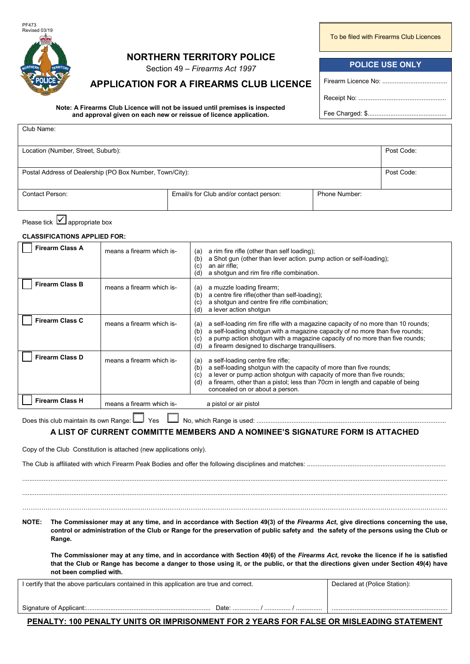

Club Name:

# **NORTHERN TERRITORY POLICE**

Section 49 – *Firearms Act 1997*

## **APPLICATION FOR A FIREARMS CLUB LICENCE**

**Note: A Firearms Club Licence will not be issued until premises is inspected and approval given on each new or reissue of licence application.**

To be filed with Firearms Club Licences

### **POLICE USE ONLY**

Firearm Licence No: .........................

Receipt No: ..................................................

Fee Charged: \$.............................................

| Location (Number, Street, Suburb):                       |                                         |               | Post Code: |
|----------------------------------------------------------|-----------------------------------------|---------------|------------|
|                                                          |                                         |               |            |
| Postal Address of Dealership (PO Box Number, Town/City): |                                         |               | Post Code: |
|                                                          |                                         |               |            |
| Contact Person:                                          | Email/s for Club and/or contact person: | Phone Number: |            |
|                                                          |                                         |               |            |

Please tick  $\vert \checkmark \vert$  appropriate box

**CLASSIFICATIONS APPLIED FOR:**

| <b>Firearm Class A</b> | means a firearm which is- | a rim fire rifle (other than self loading);<br>(a)<br>a Shot gun (other than lever action. pump action or self-loading);<br>(b)<br>an air rifle;<br>(c)<br>a shotgun and rim fire rifle combination.<br>(d)                                                                                                                                   |
|------------------------|---------------------------|-----------------------------------------------------------------------------------------------------------------------------------------------------------------------------------------------------------------------------------------------------------------------------------------------------------------------------------------------|
| <b>Firearm Class B</b> | means a firearm which is- | a muzzle loading firearm;<br>(a)<br>a centre fire rifle(other than self-loading);<br>(b)<br>a shotqun and centre fire rifle combination;<br>(C)<br>a lever action shotgun<br>(d)                                                                                                                                                              |
| <b>Firearm Class C</b> | means a firearm which is- | a self-loading rim fire rifle with a magazine capacity of no more than 10 rounds;<br>(a)<br>a self-loading shotgun with a magazine capacity of no more than five rounds;<br>(b)<br>a pump action shotgun with a magazine capacity of no more than five rounds;<br>$\left( c\right)$<br>a firearm designed to discharge tranguillisers.<br>(d) |
| <b>Firearm Class D</b> | means a firearm which is- | a self-loading centre fire rifle;<br>(a)<br>a self-loading shotgun with the capacity of more than five rounds;<br>(b)<br>a lever or pump action shotgun with capacity of more than five rounds;<br>(c)<br>a firearm, other than a pistol; less than 70cm in length and capable of being<br>(d)<br>concealed on or about a person.             |
| <b>Firearm Class H</b> | means a firearm which is- | a pistol or air pistol                                                                                                                                                                                                                                                                                                                        |
|                        |                           |                                                                                                                                                                                                                                                                                                                                               |

Does this club maintain its own Range: Yes No, which Range is used: ............................................................................................................

#### **A LIST OF CURRENT COMMITTE MEMBERS AND A NOMINEE'S SIGNATURE FORM IS ATTACHED**

Copy of the Club Constitution is attached (new applications only).

#### **NOTE: The Commissioner may at any time, and in accordance with Section 49(3) of the** *Firearms Act***, give directions concerning the use, control or administration of the Club or Range for the preservation of public safety and the safety of the persons using the Club or Range.**

**The Commissioner may at any time, and in accordance with Section 49(6) of the** *Firearms Act***, revoke the licence if he is satisfied that the Club or Range has become a danger to those using it, or the public, or that the directions given under Section 49(4) have not been complied with.**

| I certify that the above particulars contained in this application are true and correct.         | Declared at (Police Station): |  |  |
|--------------------------------------------------------------------------------------------------|-------------------------------|--|--|
|                                                                                                  |                               |  |  |
| Date:                                                                                            |                               |  |  |
| <b>PENALTY: 100 PENALTY LINITS OR IMPRISONMENT FOR 2 YEARS FOR FALSE OR MISLEADING STATEMENT</b> |                               |  |  |

**PENALTY: 100 PENALTY UNITS OR IMPRISONMENT FOR 2 YEARS FOR FALSE OR MISLEADING STATEMENT**